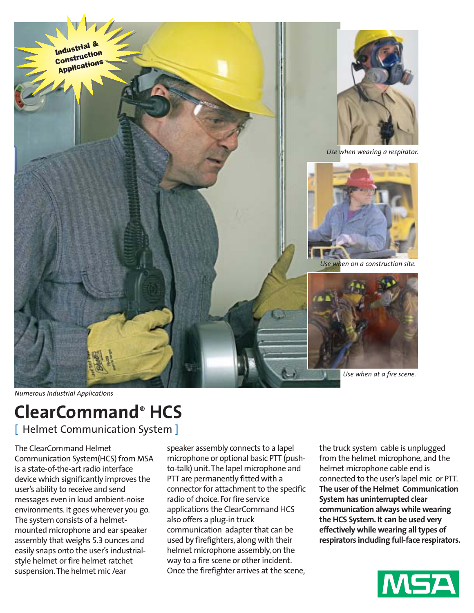

*Numerous Industrial Applications*

# **ClearCommand**® **HCS**

[ Helmet Communication System ]

The ClearCommand Helmet Communication System(HCS) from MSA is a state-of-the-art radio interface device which significantly improves the user's ability to receive and send messages even in loud ambient-noise environments. It goes wherever you go. The system consists of a helmetmounted microphone and ear speaker assembly that weighs 5.3 ounces and easily snaps onto the user's industrialstyle helmet or fire helmet ratchet suspension.The helmet mic /ear

speaker assembly connects to a lapel microphone or optional basic PTT (pushto-talk) unit.The lapel microphone and PTT are permanently fitted with a connector for attachment to the specific radio of choice. For fire service applications the ClearCommand HCS also offers a plug-in truck communication adapter that can be used by firefighters, along with their helmet microphone assembly, on the way to a fire scene or other incident. Once the firefighter arrives at the scene,

the truck system cable is unplugged from the helmet microphone, and the helmet microphone cable end is connected to the user's lapel mic or PTT. **The user of the Helmet Communication System has uninterrupted clear communication always while wearing the HCS System. It can be used very effectively while wearing all types of respirators including full-face respirators.**

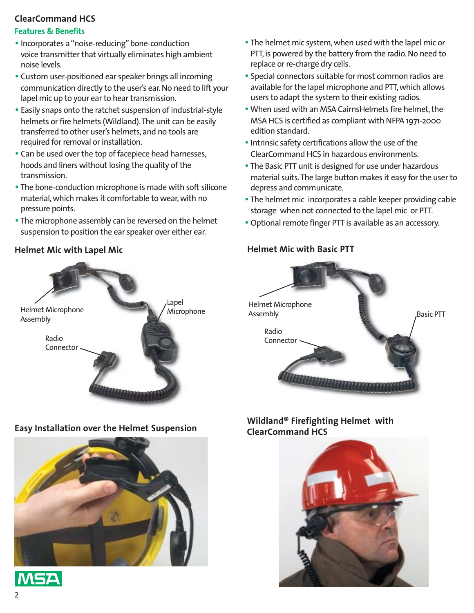## **ClearCommand HCS**

### **Features & Benefits**

- Incorporates a "noise-reducing" bone-conduction voice transmitter that virtually eliminates high ambient noise levels.
- Custom user-positioned ear speaker brings all incoming communication directly to the user's ear. No need to lift your lapel mic up to your ear to hear transmission.
- Easily snaps onto the ratchet suspension of industrial-style helmets or fire helmets (Wildland).The unit can be easily transferred to other user's helmets, and no tools are required for removal or installation.
- Can be used over the top of facepiece head harnesses, hoods and liners without losing the quality of the transmission.
- The bone-conduction microphone is made with soft silicone material, which makes it comfortable to wear, with no pressure points.
- The microphone assembly can be reversed on the helmet suspension to position the ear speaker over either ear.

## **Helmet Mic with Lapel Mic**



# **Easy Installation over the Helmet Suspension**



MSA

- The helmet mic system, when used with the lapel mic or PTT, is powered by the battery from the radio. No need to replace or re-charge dry cells.
- Special connectors suitable for most common radios are available for the lapel microphone and PTT, which allows users to adapt the system to their existing radios.
- •When used with an MSA CairnsHelmets fire helmet, the MSA HCS is certified as compliant with NFPA 1971-2000 edition standard.
- Intrinsic safety certifications allow the use of the ClearCommand HCS in hazardous environments.
- The Basic PTT unit is designed for use under hazardous material suits.The large button makes it easy for the user to depress and communicate.
- The helmet mic incorporates a cable keeper providing cable storage when not connected to the lapel mic or PTT.
- Optional remote finger PTT is available as an accessory.

## **Helmet Mic with Basic PTT**



## **Wildland® Firefighting Helmet with ClearCommand HCS**

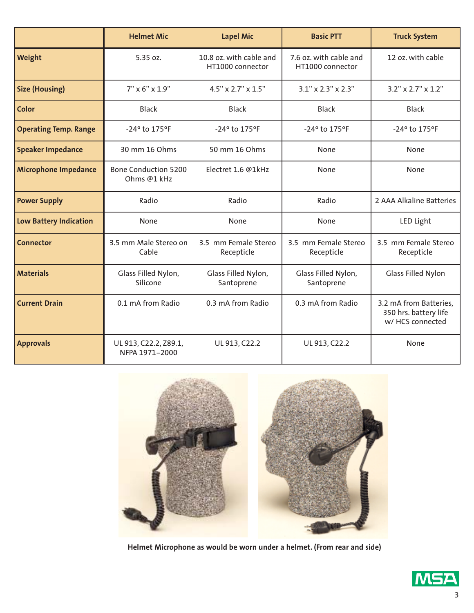|                               | <b>Helmet Mic</b>                          | <b>Lapel Mic</b>                            | <b>Basic PTT</b>                           | <b>Truck System</b>                                                 |
|-------------------------------|--------------------------------------------|---------------------------------------------|--------------------------------------------|---------------------------------------------------------------------|
| Weight                        | 5.35 oz.                                   | 10.8 oz. with cable and<br>HT1000 connector | 7.6 oz. with cable and<br>HT1000 connector | 12 oz. with cable                                                   |
| <b>Size (Housing)</b>         | $7'' \times 6'' \times 1.9''$              | 4.5" x 2.7" x 1.5"                          | $3.1''$ x $2.3''$ x $2.3''$                | $3.2$ " x $2.7$ " x $1.2$ "                                         |
| Color                         | <b>Black</b>                               | <b>Black</b>                                | <b>Black</b>                               | <b>Black</b>                                                        |
| <b>Operating Temp. Range</b>  | -24° to 175°F                              | -24° to 175°F                               | -24° to 175°F                              | -24° to 175°F                                                       |
| <b>Speaker Impedance</b>      | 30 mm 16 Ohms                              | 50 mm 16 Ohms                               | None                                       | None                                                                |
| <b>Microphone Impedance</b>   | <b>Bone Conduction 5200</b><br>Ohms @1 kHz | Electret 1.6 @1kHz                          | None                                       | None                                                                |
| <b>Power Supply</b>           | Radio                                      | Radio                                       | Radio                                      | 2 AAA Alkaline Batteries                                            |
| <b>Low Battery Indication</b> | None                                       | None                                        | None                                       | LED Light                                                           |
| <b>Connector</b>              | 3.5 mm Male Stereo on<br>Cable             | 3.5 mm Female Stereo<br>Recepticle          | 3.5 mm Female Stereo<br>Recepticle         | 3.5 mm Female Stereo<br>Recepticle                                  |
| <b>Materials</b>              | Glass Filled Nylon,<br>Silicone            | Glass Filled Nylon,<br>Santoprene           | Glass Filled Nylon,<br>Santoprene          | <b>Glass Filled Nylon</b>                                           |
| <b>Current Drain</b>          | 0.1 mA from Radio                          | 0.3 mA from Radio                           | 0.3 mA from Radio                          | 3.2 mA from Batteries,<br>350 hrs. battery life<br>w/ HCS connected |
| <b>Approvals</b>              | UL 913, C22.2, Z89.1,<br>NFPA 1971-2000    | UL 913, C22.2                               | UL 913, C22.2                              | None                                                                |



**Helmet Microphone as would be worn under a helmet. (From rear and side)**